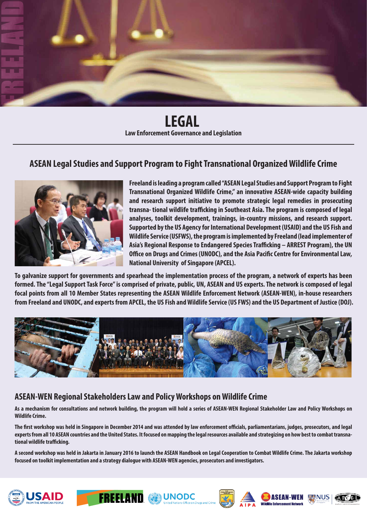

**LEGAL Law Enforcement Governance and Legislation**

### **ASEAN Legal Studies and Support Program to Fight Transnational Organized Wildlife Crime**



**Freeland is leading a program called "ASEAN Legal Studies and Support Program to Fight Transnational Organized Wildlife Crime," an innovative ASEAN-wide capacity building and research support initiative to promote strategic legal remedies in prosecuting**  transna- tional wildlife trafficking in Southeast Asia. The program is composed of legal **analyses, toolkit development, trainings, in-country missions, and research support. Supported by the US Agency for International Development (USAID) and the US Fish and Wildlife Service (USFWS), the program is implemented by Freeland (lead implementer of**  Asia's Regional Response to Endangered Species Trafficking – ARREST Program), the UN **Office on Drugs and Crimes (UNODC), and the Asia Pacific Centre for Environmental Law, National University of Singapore (APCEL).**

**To galvanize support for governments and spearhead the implementation process of the program, a network of experts has been formed. The "Legal Support Task Force" is comprised of private, public, UN, ASEAN and US experts. The network is composed of legal focal points from all 10 Member States representing the ASEAN Wildlife Enforcement Network (ASEAN-WEN), in-house researchers from Freeland and UNODC, and experts from APCEL, the US Fish and Wildlife Service (US FWS) and the US Department of Justice (DOJ).**



#### **ASEAN-WEN Regional Stakeholders Law and Policy Workshops on Wildlife Crime**

**As a mechanism for consultations and network building, the program will hold a series of ASEAN-WEN Regional Stakeholder Law and Policy Workshops on Wildlife Crime.**

The first workshop was held in Singapore in December 2014 and was attended by law enforcement officials, parliamentarians, judges, prosecutors, and legal **experts from all 10 ASEAN countries and the United States. It focused on mapping the legal resources available and strategizing on how best to combat transnational wildlife trafficking.** 

**A second workshop was held in Jakarta in January 2016 to launch the ASEAN Handbook on Legal Cooperation to Combat Wildlife Crime. The Jakarta workshop focused on toolkit implementation and a strategy dialogue with ASEAN-WEN agencies, prosecutors and investigators.**